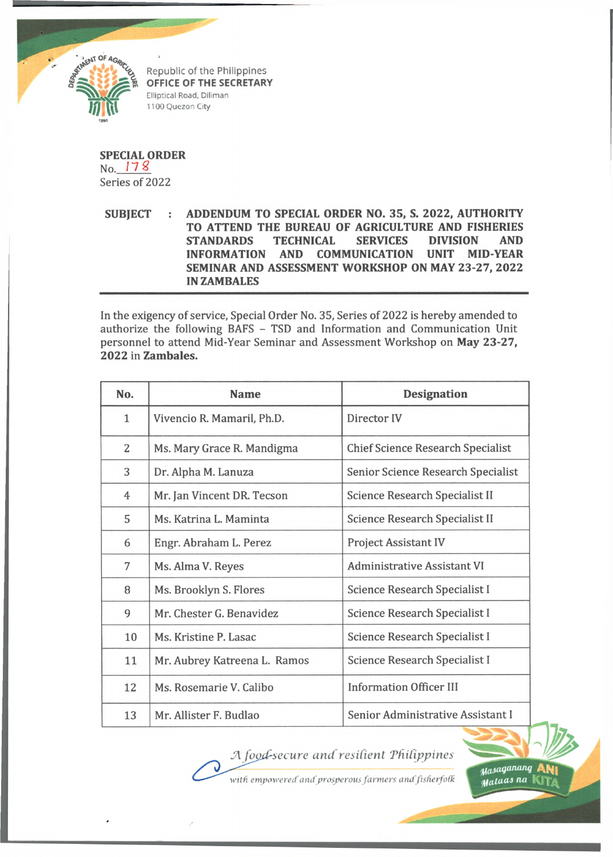

Republic of the Philippines **OFFICE OF THE SECRETARY** Elliptical Road, Diliman 1100 Quezon City

**SPECIAL ORDER** No. *17 %* Series of 2022

**SUBJECT : ADDENDUM TO SPECIAL ORDER NO. 35, S. 2022, AUTHORITY TO ATTEND THE BUREAU OF AGRICULTURE AND FISHERIES STANDARDS TECHNICAL SERVICES DIVISION AND INFORMATION AND COMMUNICATION UNIT MID-YEAR SEMINAR AND ASSESSMENT WORKSHOP ON MAY 23-27, 2022 IN ZAMBALES**

In the exigency of service, Special Order No. 35, Series of 2022 is hereby amended to authorize the following BAFS - TSD and Information and Communication Unit personnel to attend Mid-Year Seminar and Assessment Workshop on **May 23-27, 2022** in **Zambales.**

| No.          | <b>Name</b>                  | <b>Designation</b>                       |
|--------------|------------------------------|------------------------------------------|
| $\mathbf{1}$ | Vivencio R. Mamaril, Ph.D.   | Director IV                              |
| 2            | Ms. Mary Grace R. Mandigma   | <b>Chief Science Research Specialist</b> |
| 3            | Dr. Alpha M. Lanuza          | Senior Science Research Specialist       |
| 4            | Mr. Jan Vincent DR. Tecson   | Science Research Specialist II           |
| 5            | Ms. Katrina L. Maminta       | Science Research Specialist II           |
| 6            | Engr. Abraham L. Perez       | <b>Project Assistant IV</b>              |
| 7            | Ms. Alma V. Reyes            | <b>Administrative Assistant VI</b>       |
| 8            | Ms. Brooklyn S. Flores       | Science Research Specialist I            |
| 9            | Mr. Chester G. Benavidez     | Science Research Specialist I            |
| 10           | Ms. Kristine P. Lasac        | Science Research Specialist I            |
| 11           | Mr. Aubrey Katreena L. Ramos | Science Research Specialist I            |
| 12           | Ms. Rosemarie V. Calibo      | <b>Information Officer III</b>           |
| 13           | Mr. Allister F. Budlao       | Senior Administrative Assistant I        |

*JA foujdsecu re and resident Tdidppines*



*•with empowered andprosperous farmers andfisfierfofk*